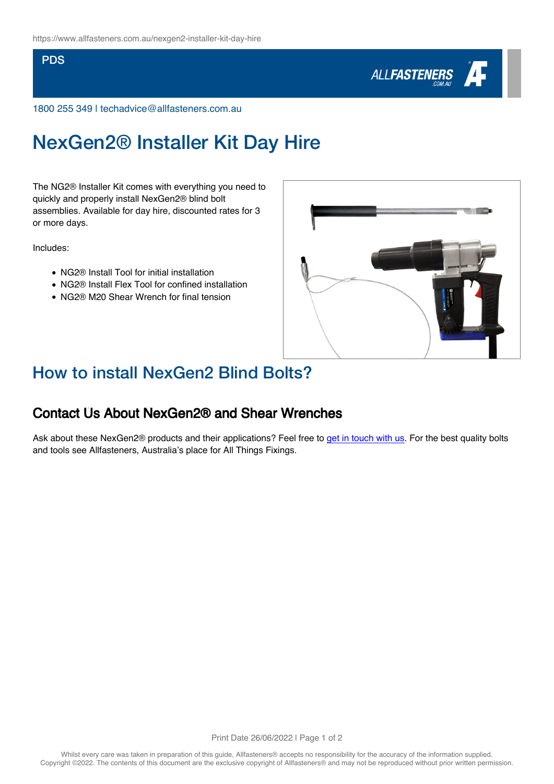#### **PDS**



1800 255 349 | techadvice@allfasteners.com.au

# NexGen2® Installer Kit Day Hire

The NG2® Installer Kit comes with everything you need to quickly and properly install NexGen2® blind bolt assemblies. Available for day hire, discounted rates for 3 or more days.

Includes:

- NG2<sup>®</sup> Install Tool for initial installation
- NG2<sup>®</sup> Install Flex Tool for confined installation
- NG2® M20 Shear Wrench for final tension



### How to install NexGen2 Blind Bolts?

#### Contact Us About NexGen2® and Shear Wrenches

Ask about these NexGen2® products and their applications? Feel free to [get in touch with us.](https://www.allfasteners.com.au/contact-us) For the best quality bolts and tools see Allfasteners, Australia's place for All Things Fixings.